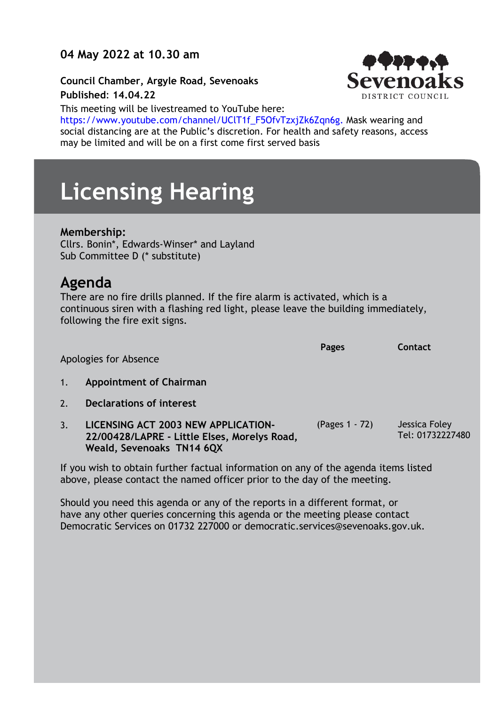### **04 May 2022 at 10.30 am**

**Council Chamber, Argyle Road, Sevenoaks Published**: **14.04.22**



This meeting will be livestreamed to YouTube here: https://www.youtube.com/channel/UClT1f\_F5OfvTzxjZk6Zqn6g. Mask wearing and social distancing are at the Public's discretion. For health and safety reasons, access may be limited and will be on a first come first served basis

# **Licensing Hearing**

#### **Membership:**

Cllrs. Bonin\*, Edwards-Winser\* and Layland Sub Committee D (\* substitute)

## **Agenda**

There are no fire drills planned. If the fire alarm is activated, which is a continuous siren with a flashing red light, please leave the building immediately, following the fire exit signs.

Apologies for Absence **Pages Contact**

- 1. **Appointment of Chairman**
- 2. **Declarations of interest**
- 3. **LICENSING ACT 2003 NEW APPLICATION-22/00428/LAPRE - Little Elses, Morelys Road, Weald, Sevenoaks TN14 6QX** (Pages 1 - 72) Jessica Foley Tel: 01732227480

If you wish to obtain further factual information on any of the agenda items listed above, please contact the named officer prior to the day of the meeting.

Should you need this agenda or any of the reports in a different format, or have any other queries concerning this agenda or the meeting please contact Democratic Services on 01732 227000 or democratic.services@sevenoaks.gov.uk.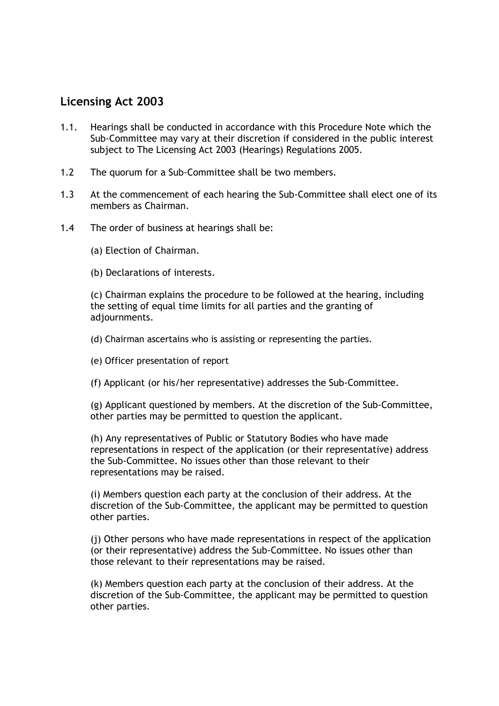#### **Licensing Act 2003**

- 1.1. Hearings shall be conducted in accordance with this Procedure Note which the Sub-Committee may vary at their discretion if considered in the public interest subject to The Licensing Act 2003 (Hearings) Regulations 2005.
- 1.2 The quorum for a Sub-Committee shall be two members.
- 1.3 At the commencement of each hearing the Sub-Committee shall elect one of its members as Chairman.
- 1.4 The order of business at hearings shall be:
	- (a) Election of Chairman.
	- (b) Declarations of interests.

(c) Chairman explains the procedure to be followed at the hearing, including the setting of equal time limits for all parties and the granting of adjournments.

- (d) Chairman ascertains who is assisting or representing the parties.
- (e) Officer presentation of report
- (f) Applicant (or his/her representative) addresses the Sub-Committee.

(g) Applicant questioned by members. At the discretion of the Sub-Committee, other parties may be permitted to question the applicant.

(h) Any representatives of Public or Statutory Bodies who have made representations in respect of the application (or their representative) address the Sub-Committee. No issues other than those relevant to their representations may be raised.

(i) Members question each party at the conclusion of their address. At the discretion of the Sub-Committee, the applicant may be permitted to question other parties.

(j) Other persons who have made representations in respect of the application (or their representative) address the Sub-Committee. No issues other than those relevant to their representations may be raised.

(k) Members question each party at the conclusion of their address. At the discretion of the Sub-Committee, the applicant may be permitted to question other parties.